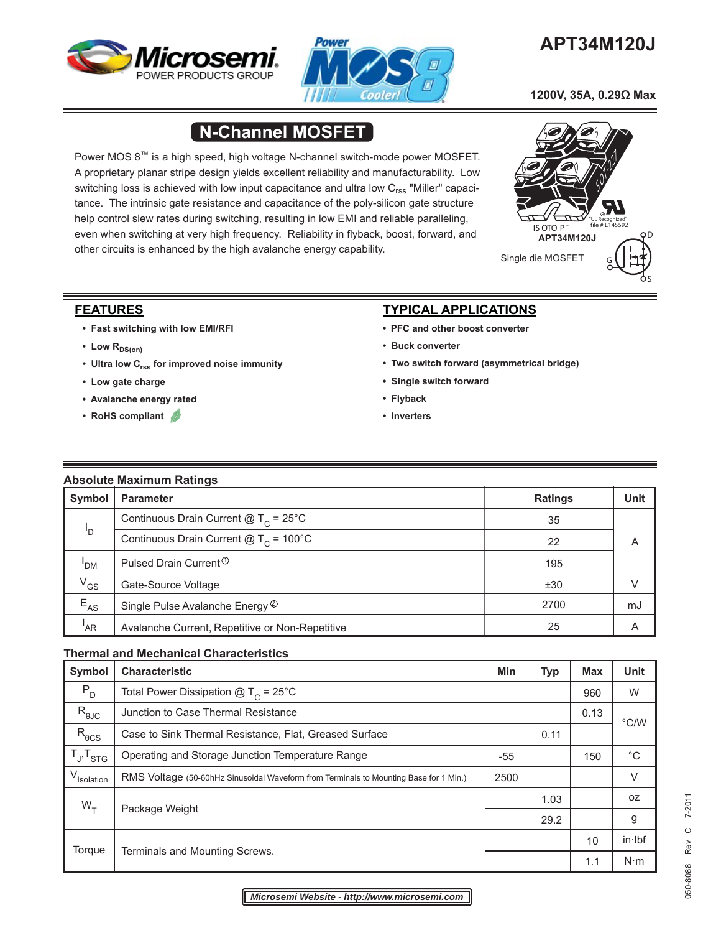



# **APT34M120J**

 **1200V, 35A, 0.29Ω Max**

# **N-Channel MOSFET**

Power MOS 8™ is a high speed, high voltage N-channel switch-mode power MOSFET. A proprietary planar stripe design yields excellent reliability and manufacturability. Low switching loss is achieved with low input capacitance and ultra low  $C_{\rm rss}$  "Miller" capacitance. The intrinsic gate resistance and capacitance of the poly-silicon gate structure help control slew rates during switching, resulting in low EMI and reliable paralleling, even when switching at very high frequency. Reliability in flyback, boost, forward, and other circuits is enhanced by the high avalanche energy capability.



### **FEATURES**

- **Fast switching with low EMI/RFI**
- Low R<sub>DS(on)</sub>
- **Ultra low Crss for improved noise immunity**
- **Low gate charge**
- **Avalanche energy rated**
- **RoHS compliant**

## **TYPICAL APPLICATIONS**

- **PFC and other boost converter**
- **Buck converter**
- **Two switch forward (asymmetrical bridge)**
- **Single switch forward**
- **Flyback**
- **Inverters**

## **Absolute Maximum Ratings**

| Symbol   | <b>Parameter</b>                                | <b>Ratings</b> | Unit |
|----------|-------------------------------------------------|----------------|------|
|          | Continuous Drain Current $@T_c = 25°C$          | 35             |      |
| 'D       | Continuous Drain Current $@T_c = 100°C$         | 22             | A    |
| 'DM      | Pulsed Drain Current <sup>1</sup>               | 195            |      |
| $V_{GS}$ | Gate-Source Voltage                             | ±30            | V    |
| $E_{AS}$ | Single Pulse Avalanche Energy ©                 | 2700           | mJ   |
| 'AR      | Avalanche Current, Repetitive or Non-Repetitive | 25             | Α    |

#### **Thermal and Mechanical Characteristics**

| <b>Symbol</b>          | <b>Characteristic</b>                                                                 |       | <b>Typ</b> | <b>Max</b> | <b>Unit</b>   |
|------------------------|---------------------------------------------------------------------------------------|-------|------------|------------|---------------|
| $P_{D}$                | Total Power Dissipation $@T_c = 25°C$                                                 |       |            | 960        | W             |
| $R_{\theta \text{JC}}$ | Junction to Case Thermal Resistance                                                   |       |            | 0.13       | $\degree$ C/W |
| $R_{\theta CS}$        | Case to Sink Thermal Resistance, Flat, Greased Surface                                |       | 0.11       |            |               |
| $T_{J}$ , $T_{STG}$    | Operating and Storage Junction Temperature Range                                      | $-55$ |            | 150        | $^{\circ}C$   |
| V <sub>Isolation</sub> | RMS Voltage (50-60hHz Sinusoidal Waveform from Terminals to Mounting Base for 1 Min.) |       |            |            | $\vee$        |
| $W_T$                  |                                                                                       |       | 1.03       |            | 0Z            |
|                        | Package Weight                                                                        |       | 29.2       |            | g             |
| Torque                 | Terminals and Mounting Screws.                                                        |       |            | 10         | in·lbf        |
|                        |                                                                                       |       |            | 1.1        | $N \cdot m$   |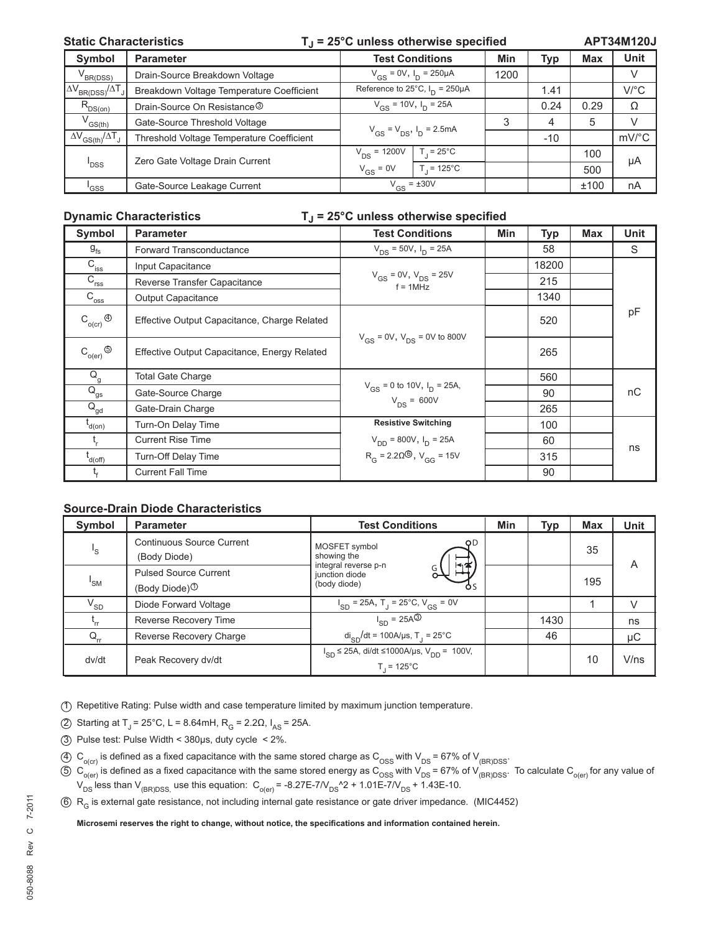#### Static Characteristics **T**<sub>J</sub> = 25°C unless otherwise specified

**APT34M120J**

| <b>Symbol</b>                                         | <b>Parameter</b>                          | <b>Test Conditions</b>                           |                    | Min  | Typ   | <b>Max</b> | Unit                  |
|-------------------------------------------------------|-------------------------------------------|--------------------------------------------------|--------------------|------|-------|------------|-----------------------|
| V <sub>BR(DSS)</sub>                                  | Drain-Source Breakdown Voltage            | $V_{GS} = 0V$ , $I_D = 250 \mu A$                |                    | 1200 |       |            | V                     |
| $\Delta V_{BR(DSS)}/\Delta T_J$                       | Breakdown Voltage Temperature Coefficient | Reference to $25^{\circ}$ C, $I_{D} = 250 \mu$ A |                    |      | 1.41  |            | $V$ /°C               |
| $R_{DS(on)}$                                          | Drain-Source On Resistance <sup>3</sup>   | $V_{GS}$ = 10V, $I_D$ = 25A                      |                    |      | 0.24  | 0.29       | Ω                     |
| $\mathsf{V}_{\mathsf{GS}(\mathsf{th})}$               | Gate-Source Threshold Voltage             | $V_{GS} = V_{DS}$ , $I_D = 2.5mA$                |                    | 3    | 4     | 5          | V                     |
| $\Delta V$ <sub>GS(th)</sub> $/\Delta T$ <sub>J</sub> | Threshold Voltage Temperature Coefficient |                                                  |                    |      | $-10$ |            | $mV$ <sup>o</sup> $C$ |
| 'DSS                                                  | Zero Gate Voltage Drain Current           | $V_{DS}$ = 1200V                                 | $T = 25^{\circ}$ C |      |       | 100        | μA                    |
|                                                       |                                           | $V_{GS} = 0V$                                    | $T = 125^{\circ}C$ |      |       | 500        |                       |
| 'GSS                                                  | Gate-Source Leakage Current               | $V_{GS}$ = ±30V                                  |                    |      |       | ±100       | nA                    |

#### **Dynamic Characteristics TJ = 25°C unless otherwise specified**

| Symbol                      | <b>Parameter</b>                             | <b>Test Conditions</b>                               | <b>Min</b> | <b>Typ</b> | Max | <b>Unit</b> |
|-----------------------------|----------------------------------------------|------------------------------------------------------|------------|------------|-----|-------------|
| $g_{\rm fs}$                | Forward Transconductance                     | $V_{DS}$ = 50V, $I_{D}$ = 25A                        |            | 58         |     | S           |
| $C_{\text{iss}}$            | Input Capacitance                            |                                                      |            | 18200      |     |             |
| $C_{\text{rss}}$            | Reverse Transfer Capacitance                 | $V_{GS} = 0V$ , $V_{DS} = 25V$<br>$f = 1$ MHz        |            | 215        |     |             |
| $C_{\overline{\text{oss}}}$ | <b>Output Capacitance</b>                    |                                                      |            | 1340       |     |             |
| $C_{o(cr)}$ $\circledcirc$  | Effective Output Capacitance, Charge Related |                                                      |            | 520        |     | pF          |
| $C_{o(er)}$ $\circledcirc$  | Effective Output Capacitance, Energy Related | $V_{GS}$ = 0V, $V_{DS}$ = 0V to 800V                 |            | 265        |     |             |
| $\mathsf{Q}_{\mathsf{g}}$   | <b>Total Gate Charge</b>                     |                                                      |            | 560        |     |             |
| $\overline{Q}_{gs}$         | Gate-Source Charge                           | $V_{GS}$ = 0 to 10V, $I_D$ = 25A,<br>$V_{DS} = 600V$ |            | 90         |     | nC          |
| $\overline{Q}_{gd}$         | Gate-Drain Charge                            |                                                      |            | 265        |     |             |
| t <sub>d(on)</sub>          | Turn-On Delay Time                           | <b>Resistive Switching</b>                           |            | 100        |     |             |
|                             | <b>Current Rise Time</b>                     | $V_{DD}$ = 800V, $I_D$ = 25A                         |            | 60         |     | ns          |
| l<br>d(off)                 | Turn-Off Delay Time                          | $R_G = 2.20\textcircled{\ }0, V_{GG} = 15V$          |            | 315        |     |             |
|                             | <b>Current Fall Time</b>                     |                                                      |            | 90         |     |             |

#### **Source-Drain Diode Characteristics**

| Symbol                  | <b>Parameter</b>                                          | <b>Test Conditions</b>                                                         | Min | Typ  | <b>Max</b> | <b>Unit</b> |
|-------------------------|-----------------------------------------------------------|--------------------------------------------------------------------------------|-----|------|------------|-------------|
| $\mathsf{I}_\mathsf{S}$ | Continuous Source Current<br>(Body Diode)                 | OD.<br>MOSFET symbol<br>showing the                                            |     |      | 35         | A           |
| 'SM                     | <b>Pulsed Source Current</b><br>(Body Diode) <sup>①</sup> | integral reverse p-n<br>l¶<br>junction diode<br>(body diode)<br>Ò٢             |     |      | 195        |             |
| $V_{SD}$                | Diode Forward Voltage                                     | $I_{SD}$ = 25A, T <sub>J</sub> = 25°C, V <sub>GS</sub> = 0V                    |     |      |            | V           |
|                         | Reverse Recovery Time                                     | $I_{SD} = 25A^{\circledR}$                                                     |     | 1430 |            | ns          |
| $Q_{rr}$                | Reverse Recovery Charge                                   | $di_{SD}/dt = 100A/\mu s$ , T <sub>1</sub> = 25°C                              |     | 46   |            | μC          |
| dv/dt                   | Peak Recovery dv/dt                                       | $I_{SD}$ ≤ 25A, di/dt ≤1000A/µs, V <sub>DD</sub> = 100V,<br>$T = 125^{\circ}C$ |     |      | 10         | V/ns        |

- 1 Repetitive Rating: Pulse width and case temperature limited by maximum junction temperature.
- 2 Starting at T<sub>J</sub> = 25°C, L = 8.64mH, R<sub>G</sub> = 2.2Ω, I<sub>AS</sub> = 25A.
- 3 Pulse test: Pulse Width < 380μs, duty cycle < 2%.
- $4)$  C<sub>o(cr)</sub> is defined as a fixed capacitance with the same stored charge as C<sub>OSS</sub> with V<sub>DS</sub> = 67% of V<sub>(BR)DSS</sub>.
- $5)$   $\rm C_{_{o(er)}}$  is defined as a fixed capacitance with the same stored energy as  $\rm C_{_{OSS}}$  with V<sub>DS</sub> = 67% of V<sub>(BR)DSS</sub>. To calculate C<sub>o(er)</sub> for any value of  $V_{DS}$  less than  $V_{(BR)DSS}$  use this equation:  $C_{o(er)}$  = -8.27E-7/V<sub>DS</sub><sup>A</sup>2 + 1.01E-7/V<sub>DS</sub> + 1.43E-10.
- 6 R<sub>G</sub> is external gate resistance, not including internal gate resistance or gate driver impedance. (MIC4452)

**Microsemi reserves the right to change, without notice, the specifi cations and information contained herein.**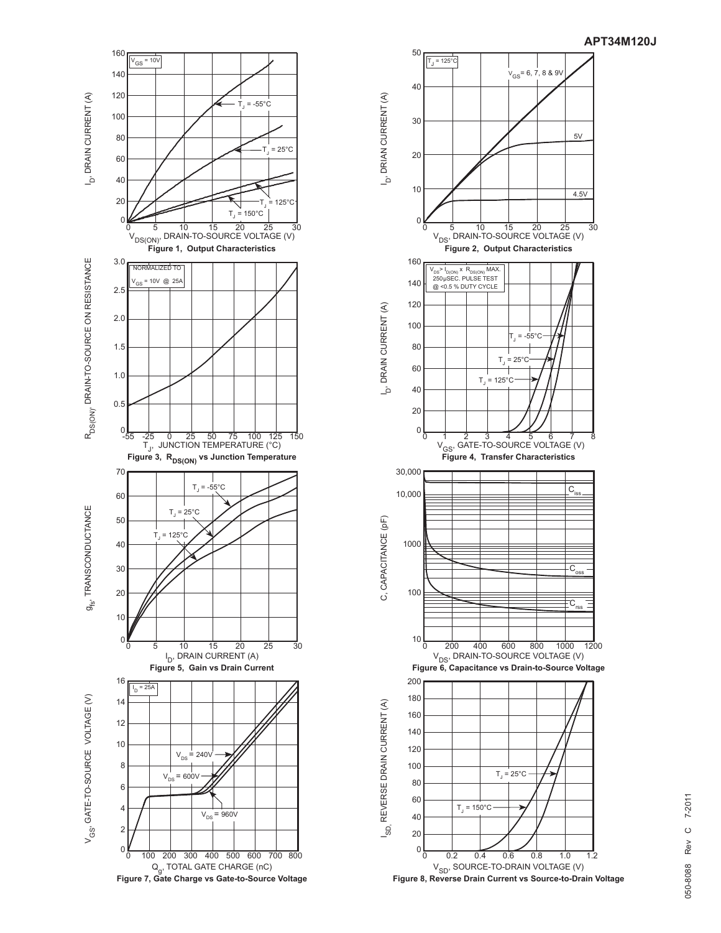